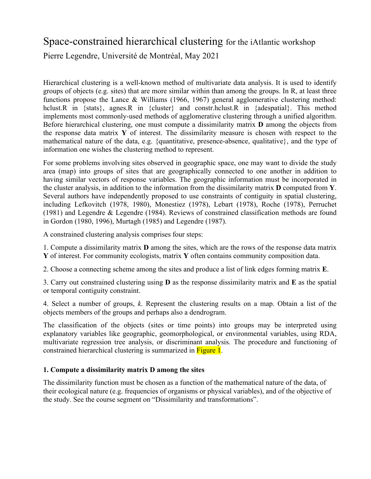# Space-constrained hierarchical clustering for the iAtlantic workshop

Pierre Legendre, Université de Montréal, May 2021

Hierarchical clustering is a well-known method of multivariate data analysis. It is used to identify groups of objects (e.g. sites) that are more similar within than among the groups. In R, at least three functions propose the Lance & Williams (1966, 1967) general agglomerative clustering method: hclust.R in {stats}, agnes.R in {cluster} and constr.hclust.R in {adespatial}. This method implements most commonly-used methods of agglomerative clustering through a unified algorithm. Before hierarchical clustering, one must compute a dissimilarity matrix **D** among the objects from the response data matrix **Y** of interest. The dissimilarity measure is chosen with respect to the mathematical nature of the data, e.g. {quantitative, presence-absence, qualitative}, and the type of information one wishes the clustering method to represent.

For some problems involving sites observed in geographic space, one may want to divide the study area (map) into groups of sites that are geographically connected to one another in addition to having similar vectors of response variables. The geographic information must be incorporated in the cluster analysis, in addition to the information from the dissimilarity matrix **D** computed from **Y**. Several authors have independently proposed to use constraints of contiguity in spatial clustering, including Lefkovitch (1978, 1980), Monestiez (1978), Lebart (1978), Roche (1978), Perruchet (1981) and Legendre & Legendre (1984). Reviews of constrained classification methods are found in Gordon (1980, 1996), Murtagh (1985) and Legendre (1987).

A constrained clustering analysis comprises four steps:

1. Compute a dissimilarity matrix **D** among the sites, which are the rows of the response data matrix **Y** of interest. For community ecologists, matrix **Y** often contains community composition data.

2. Choose a connecting scheme among the sites and produce a list of link edges forming matrix **E**.

3. Carry out constrained clustering using **D** as the response dissimilarity matrix and **E** as the spatial or temporal contiguity constraint.

4. Select a number of groups, *k*. Represent the clustering results on a map. Obtain a list of the objects members of the groups and perhaps also a dendrogram.

The classification of the objects (sites or time points) into groups may be interpreted using explanatory variables like geographic, geomorphological, or environmental variables, using RDA, multivariate regression tree analysis, or discriminant analysis. The procedure and functioning of constrained hierarchical clustering is summarized in **Figure 1**.

## **1. Compute a dissimilarity matrix D among the sites**

The dissimilarity function must be chosen as a function of the mathematical nature of the data, of their ecological nature (e.g. frequencies of organisms or physical variables), and of the objective of the study. See the course segment on "Dissimilarity and transformations".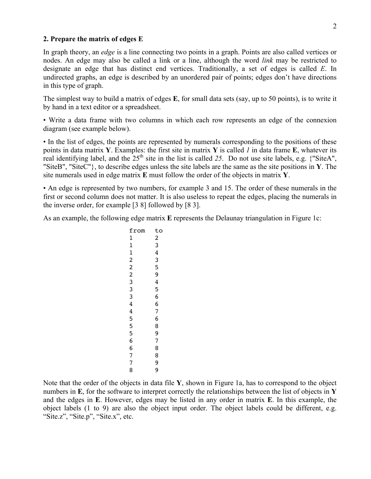### **2. Prepare the matrix of edges E**

In graph theory, an *edge* is a line connecting two points in a graph. Points are also called vertices or nodes. An edge may also be called a link or a line, although the word *link* may be restricted to designate an edge that has distinct end vertices. Traditionally, a set of edges is called *E*. In undirected graphs, an edge is described by an unordered pair of points; edges don't have directions in this type of graph.

The simplest way to build a matrix of edges **E**, for small data sets (say, up to 50 points), is to write it by hand in a text editor or a spreadsheet.

• Write a data frame with two columns in which each row represents an edge of the connexion diagram (see example below).

• In the list of edges, the points are represented by numerals corresponding to the positions of these points in data matrix **Y**. Examples: the first site in matrix **Y** is called *1* in data frame **E**, whatever its real identifying label, and the  $25<sup>th</sup>$  site in the list is called 25. Do not use site labels, e.g. {"SiteA", "SiteB", "SiteC"}, to describe edges unless the site labels are the same as the site positions in **Y**. The site numerals used in edge matrix **E** must follow the order of the objects in matrix **Y**.

• An edge is represented by two numbers, for example 3 and 15. The order of these numerals in the first or second column does not matter. It is also useless to repeat the edges, placing the numerals in the inverse order, for example [3 8] followed by [8 3].

As an example, the following edge matrix **E** represents the Delaunay triangulation in Figure 1c:

| to             |
|----------------|
| $\overline{c}$ |
| 3              |
| 4              |
| 3              |
| 5              |
| 9              |
| 4              |
| 5              |
| 6              |
| 6              |
| 7              |
| 6              |
| 8              |
| 9              |
| 7              |
| 8              |
| 8              |
| 9              |
| 9              |
|                |

Note that the order of the objects in data file **Y**, shown in Figure 1a, has to correspond to the object numbers in **E**, for the software to interpret correctly the relationships between the list of objects in **Y** and the edges in **E**. However, edges may be listed in any order in matrix **E**. In this example, the object labels (1 to 9) are also the object input order. The object labels could be different, e.g. "Site.z", "Site.p", "Site.x", etc.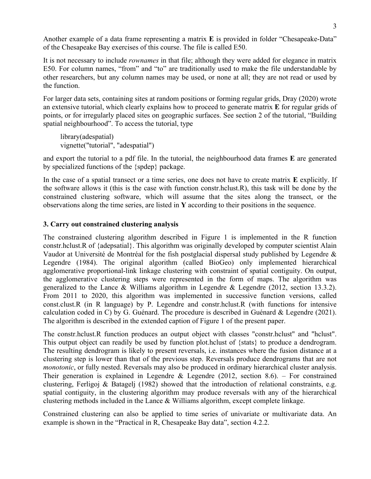Another example of a data frame representing a matrix **E** is provided in folder "Chesapeake-Data" of the Chesapeake Bay exercises of this course. The file is called E50.

It is not necessary to include *rownames* in that file; although they were added for elegance in matrix E50. For column names, "from" and "to" are traditionally used to make the file understandable by other researchers, but any column names may be used, or none at all; they are not read or used by the function.

For larger data sets, containing sites at random positions or forming regular grids, Dray (2020) wrote an extensive tutorial, which clearly explains how to proceed to generate matrix **E** for regular grids of points, or for irregularly placed sites on geographic surfaces. See section 2 of the tutorial, "Building spatial neighbourhood". To access the tutorial, type

library(adespatial) vignette("tutorial", "adespatial")

and export the tutorial to a pdf file. In the tutorial, the neighbourhood data frames **E** are generated by specialized functions of the {spdep} package.

In the case of a spatial transect or a time series, one does not have to create matrix **E** explicitly. If the software allows it (this is the case with function constr.hclust.R), this task will be done by the constrained clustering software, which will assume that the sites along the transect, or the observations along the time series, are listed in **Y** according to their positions in the sequence.

## **3. Carry out constrained clustering analysis**

The constrained clustering algorithm described in Figure 1 is implemented in the R function constr.hclust.R of {adepsatial}. This algorithm was originally developed by computer scientist Alain Vaudor at Université de Montréal for the fish postglacial dispersal study published by Legendre & Legendre (1984). The original algorithm (called BioGeo) only implemented hierarchical agglomerative proportional-link linkage clustering with constraint of spatial contiguity. On output, the agglomerative clustering steps were represented in the form of maps. The algorithm was generalized to the Lance & Williams algorithm in Legendre & Legendre  $(2012, \text{ section } 13.3.2)$ . From 2011 to 2020, this algorithm was implemented in successive function versions, called const.clust.R (in R language) by P. Legendre and constr.hclust.R (with functions for intensive calculation coded in C) by G. Guénard. The procedure is described in Guénard & Legendre (2021). The algorithm is described in the extended caption of Figure 1 of the present paper.

The constr.hclust.R function produces an output object with classes "constr.hclust" and "hclust". This output object can readily be used by function plot.hclust of {stats} to produce a dendrogram. The resulting dendrogram is likely to present reversals, i.e. instances where the fusion distance at a clustering step is lower than that of the previous step. Reversals produce dendrograms that are not *monotonic*, or fully nested. Reversals may also be produced in ordinary hierarchical cluster analysis. Their generation is explained in Legendre & Legendre  $(2012, \text{ section } 8.6)$ . – For constrained clustering, Ferligoj & Batagelj (1982) showed that the introduction of relational constraints, e.g. spatial contiguity, in the clustering algorithm may produce reversals with any of the hierarchical clustering methods included in the Lance & Williams algorithm, except complete linkage.

Constrained clustering can also be applied to time series of univariate or multivariate data. An example is shown in the "Practical in R, Chesapeake Bay data", section 4.2.2.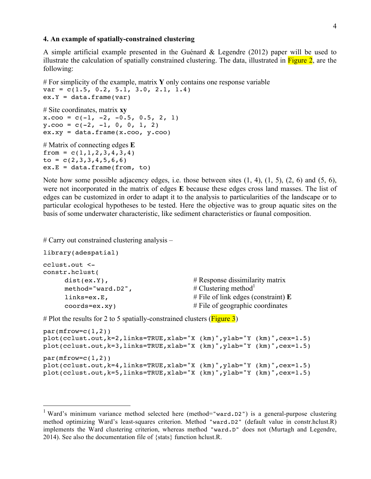## **4. An example of spatially-constrained clustering**

A simple artificial example presented in the Guénard & Legendre (2012) paper will be used to illustrate the calculation of spatially constrained clustering. The data, illustrated in  $\frac{Figure 2}{2}$ , are the following:

```
# For simplicity of the example, matrix Y only contains one response variable
var = c(1.5, 0.2, 5.1, 3.0, 2.1, 1.4)ex.Y = data.frame(var)# Site coordinates, matrix xy
x.\cos = c(-1, -2, -0.5, 0.5, 2, 1)y.\text{co} = c(-2, -1, 0, 0, 1, 2)ex.xy = data.frame(x.co0, y.co0)# Matrix of connecting edges E
from = c(1, 1, 2, 3, 4, 3, 4)to = c(2,3,3,4,5,6,6)ex.E = data.frame(from, to)
```
Note how some possible adjacency edges, i.e. those between sites  $(1, 4)$ ,  $(1, 5)$ ,  $(2, 6)$  and  $(5, 6)$ , were not incorporated in the matrix of edges **E** because these edges cross land masses. The list of edges can be customized in order to adapt it to the analysis to particularities of the landscape or to particular ecological hypotheses to be tested. Here the objective was to group aquatic sites on the basis of some underwater characteristic, like sediment characteristics or faunal composition.

# Carry out constrained clustering analysis –

```
library(adespatial)
```

```
cclust.out <-
constr.hclust(
    dist(ex.Y), \# Response dissimilarity matrix
    method="ward.D2", \# Clustering method<sup>1</sup>
    links=ex.E, # File of link edges (constraint) E
    coords=ex.xy) # File of geographic coordinates
```
# Plot the results for 2 to 5 spatially-constrained clusters ( $Figure 3$ )

```
par(mfrow=c(1,2))plot(cclust.out,k=2,links=TRUE,xlab="X (km)",ylab="Y (km)",cex=1.5)
plot(cclust.out,k=3,links=TRUE,xlab="X (km)",ylab="Y (km)",cex=1.5)
par(mfrow=c(1,2))plot(ccluster.out, k=4, links=TRUE, xlabel" X (km)", ylabel" Y (km)", cex=1.5)plot(cclust.out,k=5,links=TRUE,xlab="X (km)",ylab="Y (km)",cex=1.5)
```
<sup>&</sup>lt;sup>1</sup> Ward's minimum variance method selected here (method="ward.D2") is a general-purpose clustering method optimizing Ward's least-squares criterion. Method "ward.D2" (default value in constr.hclust.R) implements the Ward clustering criterion, whereas method "ward.D" does not (Murtagh and Legendre, 2014). See also the documentation file of {stats} function hclust.R.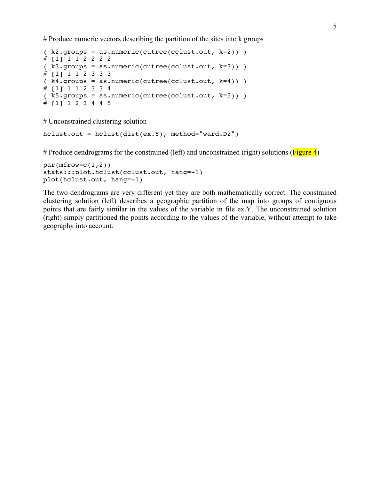# Produce numeric vectors describing the partition of the sites into k groups

```
(k2.qrows = as.numeric(cutree(cclust.out, k=2)) )# [1] 1 1 2 2 2 2
( k3.groups = as.numeric(cutree(cclust.out, k=3)) )
# [1] 1 1 2 3 3 3
(k4.qroups = as.numeric(cutree(cclust.out, k=4)) )# [1] 1 1 2 3 3 4
(k5.grows = as.name(cutree(cclust.out, k=5)) )# [1] 1 2 3 4 4 5
```
# Unconstrained clustering solution

```
hclust.out = hclust(dist(ex.Y), method="ward.D2")
```
# Produce dendrograms for the constrained (left) and unconstrained (right) solutions ( $Figure 4$ )

```
par(mfrow=c(1,2))stats:::plot.hclust(cclust.out, hang=-1)
plot(hclust.out, hang=-1)
```
The two dendrograms are very different yet they are both mathematically correct. The constrained clustering solution (left) describes a geographic partition of the map into groups of contiguous points that are fairly similar in the values of the variable in file ex.Y. The unconstrained solution (right) simply partitioned the points according to the values of the variable, without attempt to take geography into account.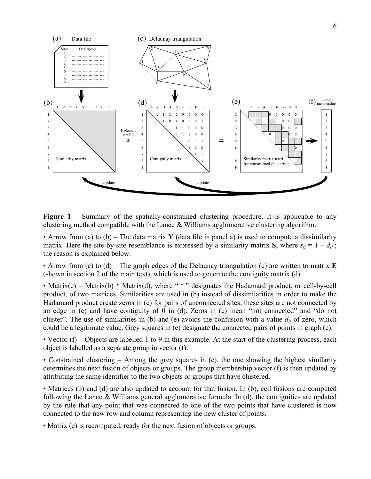

**Figure 1** – Summary of the spatially-constrained clustering procedure. It is applicable to any clustering method compatible with the Lance & Williams agglomerative clustering algorithm.

• Arrow from (a) to (b) – The data matrix **Y** (data file in panel a) is used to compute a dissimilarity matrix. Here the site-by-site resemblance is expressed by a similarity matrix **S**, where  $s_{ij} = 1 - d_{ij}$ ; the reason is explained below.

• Arrow from (c) to (d) – The graph edges of the Delaunay triangulation (c) are written to matrix **E** (shown in section 2 of the main text), which is used to generate the contiguity matrix (d).

• Matrix(e) = Matrix(b) \* Matrix(d), where "\*" designates the Hadamard product, or cell-by-cell product, of two matrices. Similarities are used in (b) instead of dissimilarities in order to make the Hadamard product create zeros in (e) for pairs of unconnected sites; these sites are not connected by an edge in (c) and have contiguity of 0 in (d). Zeros in (e) mean "not connected" and "do not cluster". The use of similarities in (b) and (e) avoids the confusion with a value  $d_{ij}$  of zero, which could be a legitimate value. Grey squares in (e) designate the connected pairs of points in graph (c).

• Vector  $(f)$  – Objects are labelled 1 to 9 in this example. At the start of the clustering process, each object is labelled as a separate group in vector (f).

• Constrained clustering – Among the grey squares in (e), the one showing the highest similarity determines the next fusion of objects or groups. The group membership vector (f) is then updated by attributing the same identifier to the two objects or groups that have clustered.

• Matrices (b) and (d) are also updated to account for that fusion. In (b), cell fusions are computed following the Lance & Williams general agglomerative formula. In (d), the contiguities are updated by the rule that any point that was connected to one of the two points that have clustered is now connected to the new row and column representing the new cluster of points.

• Matrix (e) is recomputed, ready for the next fusion of objects or groups.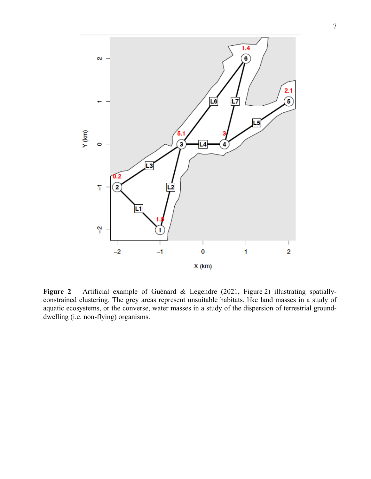

**Figure 2** – Artificial example of Guénard & Legendre (2021, Figure 2) illustrating spatiallyconstrained clustering. The grey areas represent unsuitable habitats, like land masses in a study of aquatic ecosystems, or the converse, water masses in a study of the dispersion of terrestrial grounddwelling (i.e. non-flying) organisms.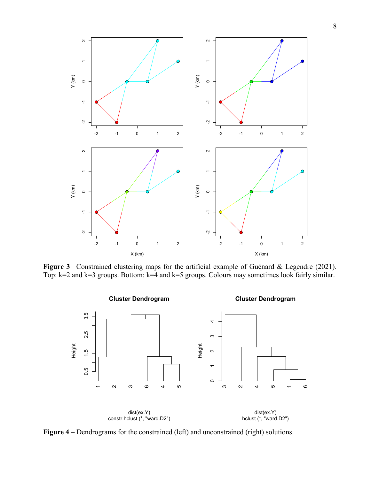

**Figure 3** –Constrained clustering maps for the artificial example of Guénard & Legendre (2021). Top: k=2 and k=3 groups. Bottom: k=4 and k=5 groups. Colours may sometimes look fairly similar.



**Figure 4** – Dendrograms for the constrained (left) and unconstrained (right) solutions.